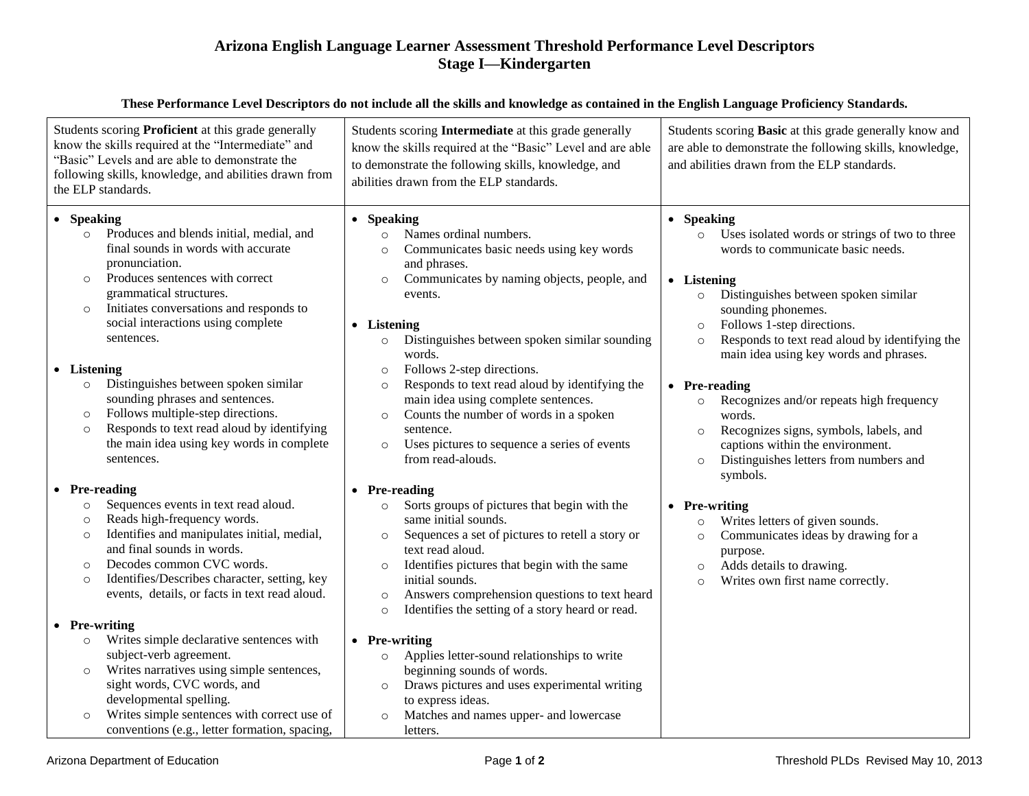## **Arizona English Language Learner Assessment Threshold Performance Level Descriptors Stage I—Kindergarten**

| These Performance Level Descriptors do not include all the skills and knowledge as contained in the English Language Proficiency Standards.                                                                                                                                                                                                                                                                                                                                                                                                                                                                                                                                            |                                                                                                                                                                                                                                                                                                                                                                                                                                                                                                                                                                                                                                             |                                                                                                                                                                                                                                                                                                                                                                                                                                                                                                                                                                                                  |  |  |
|----------------------------------------------------------------------------------------------------------------------------------------------------------------------------------------------------------------------------------------------------------------------------------------------------------------------------------------------------------------------------------------------------------------------------------------------------------------------------------------------------------------------------------------------------------------------------------------------------------------------------------------------------------------------------------------|---------------------------------------------------------------------------------------------------------------------------------------------------------------------------------------------------------------------------------------------------------------------------------------------------------------------------------------------------------------------------------------------------------------------------------------------------------------------------------------------------------------------------------------------------------------------------------------------------------------------------------------------|--------------------------------------------------------------------------------------------------------------------------------------------------------------------------------------------------------------------------------------------------------------------------------------------------------------------------------------------------------------------------------------------------------------------------------------------------------------------------------------------------------------------------------------------------------------------------------------------------|--|--|
| Students scoring Proficient at this grade generally<br>know the skills required at the "Intermediate" and<br>"Basic" Levels and are able to demonstrate the<br>following skills, knowledge, and abilities drawn from<br>the ELP standards.                                                                                                                                                                                                                                                                                                                                                                                                                                             | Students scoring Intermediate at this grade generally<br>know the skills required at the "Basic" Level and are able<br>to demonstrate the following skills, knowledge, and<br>abilities drawn from the ELP standards.                                                                                                                                                                                                                                                                                                                                                                                                                       | Students scoring Basic at this grade generally know and<br>are able to demonstrate the following skills, knowledge,<br>and abilities drawn from the ELP standards.                                                                                                                                                                                                                                                                                                                                                                                                                               |  |  |
| • Speaking<br>Produces and blends initial, medial, and<br>$\circ$<br>final sounds in words with accurate<br>pronunciation.<br>Produces sentences with correct<br>$\circ$<br>grammatical structures.<br>Initiates conversations and responds to<br>$\circ$<br>social interactions using complete<br>sentences.<br>• Listening<br>Distinguishes between spoken similar<br>$\circ$<br>sounding phrases and sentences.<br>Follows multiple-step directions.<br>$\circ$<br>Responds to text read aloud by identifying<br>$\circ$<br>the main idea using key words in complete<br>sentences.                                                                                                 | • Speaking<br>Names ordinal numbers.<br>$\circ$<br>Communicates basic needs using key words<br>$\circ$<br>and phrases.<br>Communicates by naming objects, people, and<br>$\circ$<br>events.<br>• Listening<br>Distinguishes between spoken similar sounding<br>$\circ$<br>words.<br>Follows 2-step directions.<br>$\circ$<br>Responds to text read aloud by identifying the<br>$\circ$<br>main idea using complete sentences.<br>Counts the number of words in a spoken<br>$\circ$<br>sentence.<br>Uses pictures to sequence a series of events<br>$\circ$<br>from read-alouds.                                                             | • Speaking<br>Uses isolated words or strings of two to three<br>$\circ$<br>words to communicate basic needs.<br>• Listening<br>Distinguishes between spoken similar<br>$\circ$<br>sounding phonemes.<br>Follows 1-step directions.<br>$\circ$<br>Responds to text read aloud by identifying the<br>$\circ$<br>main idea using key words and phrases.<br>• Pre-reading<br>Recognizes and/or repeats high frequency<br>$\circ$<br>words.<br>Recognizes signs, symbols, labels, and<br>$\circ$<br>captions within the environment.<br>Distinguishes letters from numbers and<br>$\circ$<br>symbols. |  |  |
| • Pre-reading<br>Sequences events in text read aloud.<br>$\circ$<br>Reads high-frequency words.<br>$\circ$<br>Identifies and manipulates initial, medial,<br>$\circ$<br>and final sounds in words.<br>Decodes common CVC words.<br>$\circ$<br>Identifies/Describes character, setting, key<br>$\circ$<br>events, details, or facts in text read aloud.<br>• Pre-writing<br>Writes simple declarative sentences with<br>$\circ$<br>subject-verb agreement.<br>Writes narratives using simple sentences,<br>$\circ$<br>sight words, CVC words, and<br>developmental spelling.<br>Writes simple sentences with correct use of<br>$\circ$<br>conventions (e.g., letter formation, spacing, | • Pre-reading<br>Sorts groups of pictures that begin with the<br>same initial sounds.<br>Sequences a set of pictures to retell a story or<br>$\circ$<br>text read aloud.<br>Identifies pictures that begin with the same<br>$\circ$<br>initial sounds.<br>Answers comprehension questions to text heard<br>$\circ$<br>Identifies the setting of a story heard or read.<br>$\circ$<br>• Pre-writing<br>Applies letter-sound relationships to write<br>$\circ$<br>beginning sounds of words.<br>Draws pictures and uses experimental writing<br>$\circ$<br>to express ideas.<br>Matches and names upper- and lowercase<br>$\circ$<br>letters. | • Pre-writing<br>Writes letters of given sounds.<br>$\circ$<br>Communicates ideas by drawing for a<br>$\circ$<br>purpose.<br>Adds details to drawing.<br>$\circ$<br>Writes own first name correctly.<br>$\circ$                                                                                                                                                                                                                                                                                                                                                                                  |  |  |